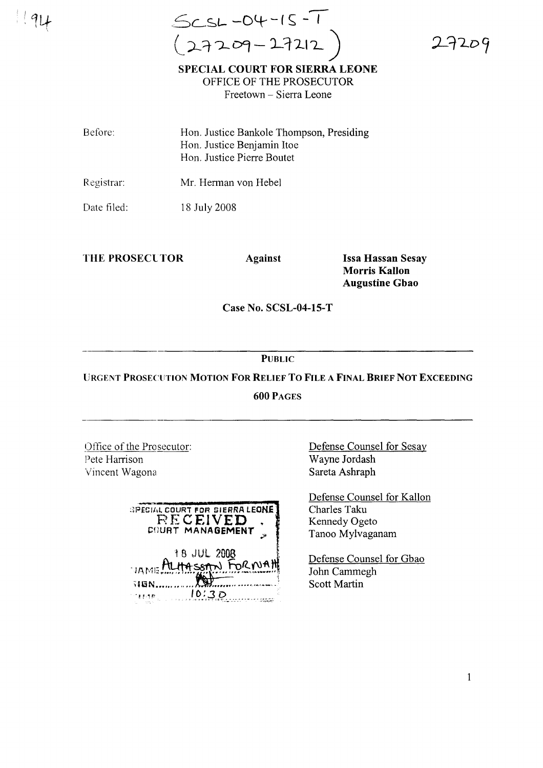$91$ 

..--- ,Sc..Sl.- **-olt- - (s** - ,  $($  27209-27212

L7209

**SPECIAL COURT FOR SIERRA LEONE** OFFICE OF THE PROSECUTOR Freetown - Sierra Leone

Before: Hon. Justice Bankole Thompson, Presiding Hon. Justice Benjamin Itoe Hon. Justice Pierre Boutet

Registrar: Mr. Herman von Hebel

Date filed: 18 July 2008

**THE PROSECl TOR Against**

**Issa Hassan Sesay Morris Kallon Augustine Gbao**

**Case No. SCSL-04-15-l'**

**PUBLIC**

**URGENT PROSECUTION MOTION FOR RELIEF To FILE A FINAL BRIEF NOT EXCEEDING** 600 PAGES

Office of the Prosecutor: Pete Harrison Vincent Wagona

| SPECIAL COURT FOR SIERRA LEONE<br>RECEIVED<br><b>COURT MANAGEMENT</b> |
|-----------------------------------------------------------------------|
| 18 JUL 2008<br>VAME ALHASSAN FORMAH<br><b>HGN</b>                     |
| 10:3つ                                                                 |

Defense Counsel for Sesay Wayne Jordash Sareta Ashraph

Defense Counsel for Kallon Charles Taku Kennedy Ogeto Tanoo Mylvaganam

Defense Counsel for Gbao John Cammegh Scott Martin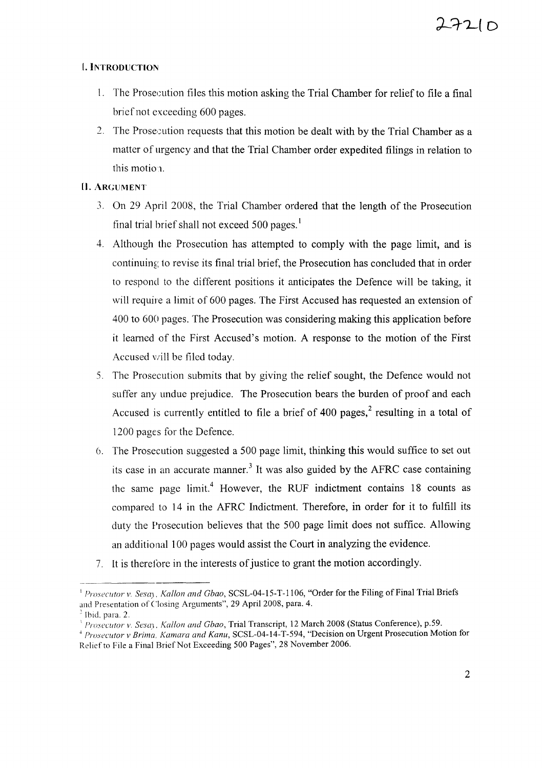# L **INTRODUCTION**

- 1. The Prosecution files this motion asking the Trial Chamber for relief to file a final brief not exceeding 600 pages.
- 2. The Prosecution requests that this motion be dealt with by the Trial Chamber as a matter of urgency and that the Trial Chamber order expedited filings in relation to this motion.

# **[I.** ARGUMENT

- 3. On 29 April 2008, the Trial Chamber ordered that the length of the Prosecution final trial brief shall not exceed 500 pages. $<sup>1</sup>$ </sup>
- 4. Although the Prosecution has attempted to comply with the page limit, and is continuing to revise its final trial brief, the Prosecution has concluded that in order to respond to the different positions it anticipates the Defence will be taking, it will require a limit of 600 pages. The First Accused has requested an extension of 400 to 600 pages. The Prosecution was considering making this application before it learned of the First Accused's motion. A response to the motion of the First Accused will be filed today.
- 5. The Prosecution submits that by giving the relief sought, the Defence would not suffer any undue prejudice. The Prosecution bears the burden of proof and each Accused is currently entitled to file a brief of 400 pages,<sup>2</sup> resulting in a total of 1200 pages for the Defence.
- 6. The Prosecution suggested a 500 page limit, thinking this would suffice to set out its case in an accurate manner.<sup>3</sup> It was also guided by the AFRC case containing the same page  $limit<sup>4</sup>$  However, the RUF indictment contains 18 counts as compared to 14 in the AFRC Indictment. Therefore, in order for it to fulfill its duty the Prosecution believes that the 500 page limit does not suffice. Allowing an additional 100 pages would assist the Court in analyzing the evidence.
- 7. It is therefore in the interests of justice to grant the motion accordingly.

<sup>I</sup> *Prosecutor v. Sesa). Kallon and Gbao,* SCSL-04-15-T-I106, "Order for the Filing of Final Trial Briefs and Presentation of Closing Arguments", 29 April 2008, para. 4.

 $<sup>2</sup>$  Ibid, para. 2.</sup>

<sup>&</sup>lt;sup>3</sup> Prosecutor *v, Sesay, Kallon and Gbao, Trial Transcript, 12 March 2008 (Status Conference), p.59.* 

<sup>&</sup>lt;sup>4</sup> Prosecutor v Brima, *Kamara and Kanu*, SCSL-04-14-T-594, "Decision on Urgent Prosecution Motion for Relief to File a Final Brief Not Exceeding 500 Pages", 28 November 2006.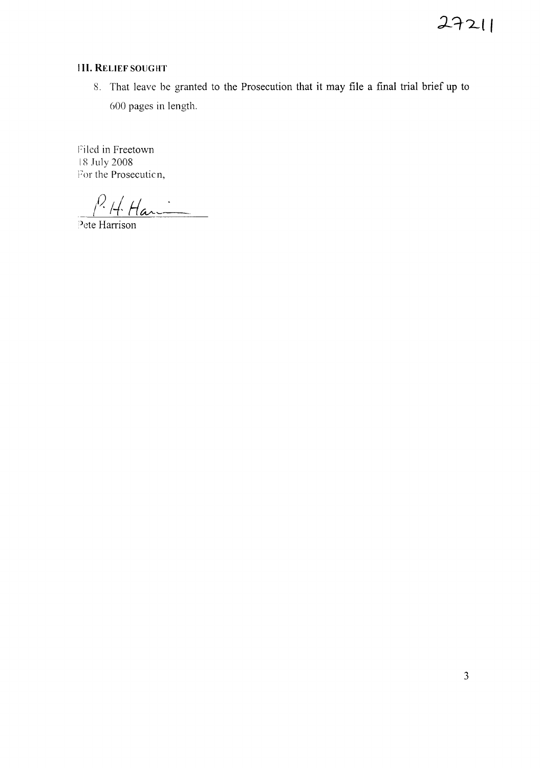### **III. RELIEF SOUGHT**

8. That leave be granted to the Prosecution that it may file a final trial brief up to 600 pages in length.

Filed in Freetown 18 July 2008 For the Prosecution,

 $P$ . H Havi

Pete Harrison